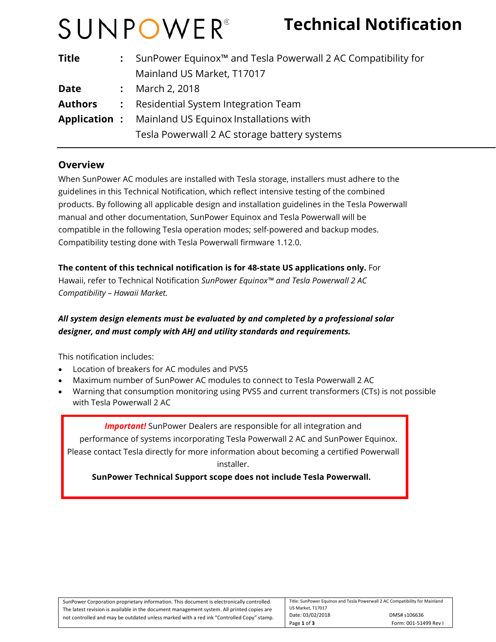# SUNPOWER®

## **Technical Notification**

| <b>Title</b>        |                | : SunPower Equinox <sup><math>m</math></sup> and Tesla Powerwall 2 AC Compatibility for |  |
|---------------------|----------------|-----------------------------------------------------------------------------------------|--|
|                     |                | Mainland US Market, T17017                                                              |  |
| <b>Date</b>         |                | March 2, 2018                                                                           |  |
| <b>Authors</b>      | $\ddot{\cdot}$ | Residential System Integration Team                                                     |  |
| <b>Application:</b> |                | Mainland US Equinox Installations with                                                  |  |
|                     |                | Tesla Powerwall 2 AC storage battery systems                                            |  |

#### **Overview**

When SunPower AC modules are installed with Tesla storage, installers must adhere to the guidelines in this Technical Notification, which reflect intensive testing of the combined products. By following all applicable design and installation guidelines in the Tesla Powerwall manual and other documentation, SunPower Equinox and Tesla Powerwall will be compatible in the following Tesla operation modes; self-powered and backup modes. Compatibility testing done with Tesla Powerwall firmware 1.12.0.

**The content of this technical notification is for 48-state US applications only.** For Hawaii, refer to Technical Notification *SunPower Equinox™ and Tesla Powerwall 2 AC Compatibility – Hawaii Market.* 

#### *All system design elements must be evaluated by and completed by a professional solar designer, and must comply with AHJ and utility standards and requirements.*

This notification includes:

- Location of breakers for AC modules and PVS5
- Maximum number of SunPower AC modules to connect to Tesla Powerwall 2 AC
- Warning that consumption monitoring using PVS5 and current transformers (CTs) is not possible with Tesla Powerwall 2 AC

**Important!** SunPower Dealers are responsible for all integration and

 performance of systems incorporating Tesla Powerwall 2 AC and SunPower Equinox. Please contact Tesla directly for more information about becoming a certified Powerwall installer.

 **SunPower Technical Support scope does not include Tesla Powerwall.**

| SunPower Corporation proprietary information. This document is electronically controlled.  | Title: SunPower Equinox and Tesla Powerwall 2 AC Compatibility for Mainland |                       |
|--------------------------------------------------------------------------------------------|-----------------------------------------------------------------------------|-----------------------|
| The latest revision is available in the document management system. All printed copies are | US Market, T17017                                                           |                       |
| not controlled and may be outdated unless marked with a red ink "Controlled Copy" stamp.   | Date: 03/02/2018                                                            | DMS# s106636          |
|                                                                                            | Page 1 of 3                                                                 | Form: 001-51499 Rev I |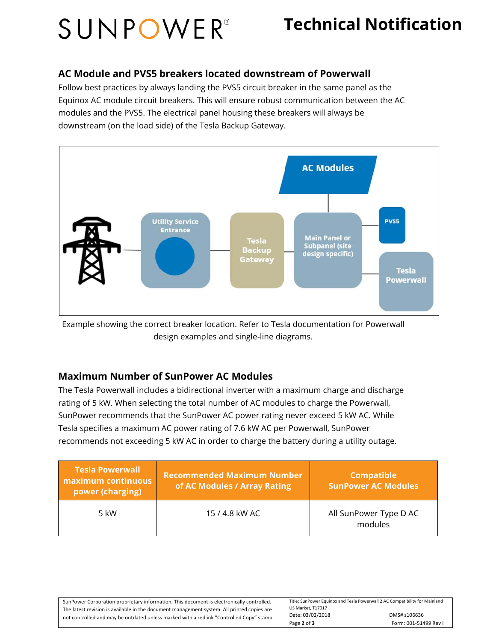## SUNPOWER®

### **Technical Notification**

#### **AC Module and PVS5 breakers located downstream of Powerwall**

Follow best practices by always landing the PVS5 circuit breaker in the same panel as the Equinox AC module circuit breakers. This will ensure robust communication between the AC modules and the PVS5. The electrical panel housing these breakers will always be downstream (on the load side) of the Tesla Backup Gateway.



Example showing the correct breaker location. Refer to Tesla documentation for Powerwall design examples and single-line diagrams.

#### **Maximum Number of SunPower AC Modules**

The Tesla Powerwall includes a bidirectional inverter with a maximum charge and discharge rating of 5 kW. When selecting the total number of AC modules to charge the Powerwall, SunPower recommends that the SunPower AC power rating never exceed 5 kW AC. While Tesla specifies a maximum AC power rating of 7.6 kW AC per Powerwall, SunPower recommends not exceeding 5 kW AC in order to charge the battery during a utility outage.

| <b>Tesla Powerwall</b><br>maximum continuous<br>power (charging) | <b>Recommended Maximum Number</b><br>of AC Modules / Array Rating | <b>Compatible</b><br><b>SunPower AC Modules</b> |
|------------------------------------------------------------------|-------------------------------------------------------------------|-------------------------------------------------|
| $5 \text{ kW}$                                                   | 15 / 4.8 kW AC                                                    | All SunPower Type D AC<br>modules               |

| SunPower Corporation proprietary information. This document is electronically controlled.  | Title: SunPower Equinox and Tesla Powerwall 2 AC Compatibility for Mainland |                       |
|--------------------------------------------------------------------------------------------|-----------------------------------------------------------------------------|-----------------------|
| The latest revision is available in the document management system. All printed copies are | US Market. T17017                                                           |                       |
| not controlled and may be outdated unless marked with a red ink "Controlled Copy" stamp.   | Date: 03/02/2018                                                            | DMS# s106636          |
|                                                                                            | Page 2 of 3                                                                 | Form: 001-51499 Rev I |